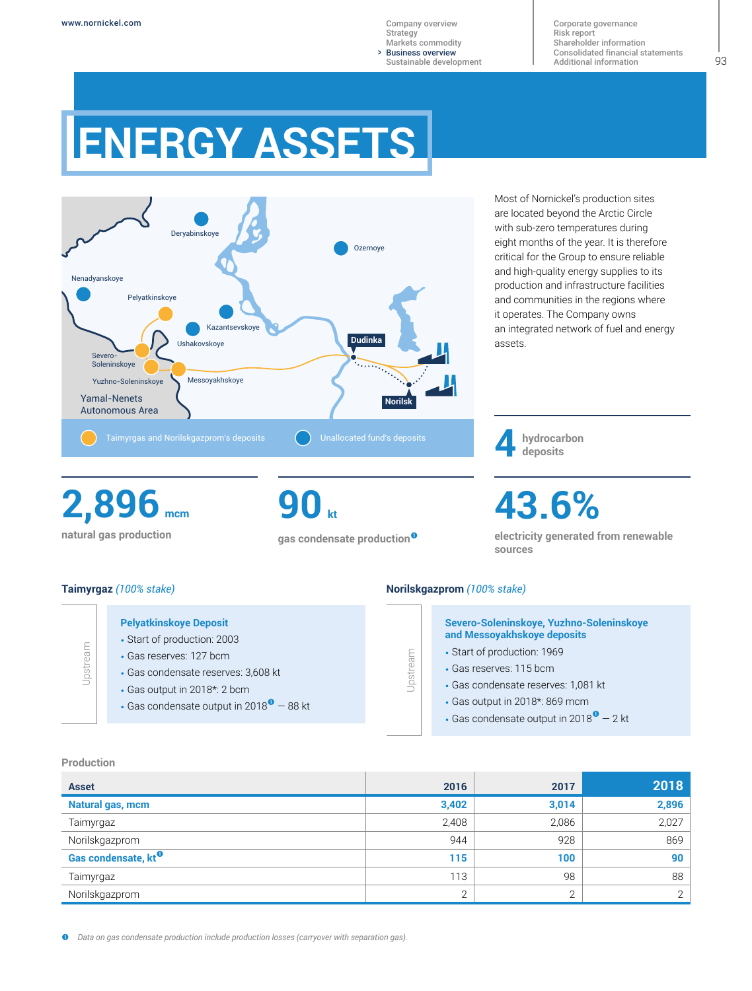> Business overview [Company overview](#page--1-0) **[Strategy](#page--1-0)** [Markets commodity](#page--1-0) [Sustainable development](#page--1-0)

[Corporate governance](#page--1-0) [Risk report](#page--1-0) [Shareholder information](#page--1-0) [Consolidated financial statements](#page--1-0) [Additional information](#page--1-0)

# **ENERGY ASSETS**



Most of Nornickel's production sites are located beyond the Arctic Circle with sub-zero temperatures during eight months of the year. It is therefore critical for the Group to ensure reliable and high-quality energy supplies to its production and infrastructure facilities and communities in the regions where it operates. The Company owns an integrated network of fuel and energy assets.

**hydrocarbon 4 deposits**

**natural gas production 2,896 mcm** **90 kt**

**gas condensate production**

**43.6%**

**electricity generated from renewable sources**

# **Taimyrgaz** *(100% stake)*

# **Pelyatkinskoye Deposit**

- Start of production: 2003
- Gas reserves: 127 bcm
- Gas condensate reserves: 3,608 kt
- Gas output in 2018\*: 2 bcm
- Gas condensate output in 2018 $^{\circ}$  88 kt

## **Norilskgazprom** *(100% stake)*

Upstream

## **Severo-Soleninskoye, Yuzhno-Soleninskoye and Messoyakhskoye deposits**

- Start of production: 1969
- Gas reserves: 115 bcm
- Gas condensate reserves: 1,081 kt
- Gas output in 2018\*: 869 mcm
- Gas condensate output in 2018 $^{\circ}$  2 kt

#### **Production**

Upstream

| <b>Asset</b>                    | 2016         | 2017   | 2018  |
|---------------------------------|--------------|--------|-------|
| Natural gas, mcm                | 3,402        | 3,014  | 2,896 |
| Taimyrgaz                       | 2,408        | 2,086  | 2,027 |
| Norilskgazprom                  | 944          | 928    | 869   |
| Gas condensate, kt <sup>o</sup> | 115          | 100    | 90    |
| Taimyrgaz                       | 113          | 98     | 88    |
| Norilskgazprom                  | $\mathbf{2}$ | $\cap$ | 2     |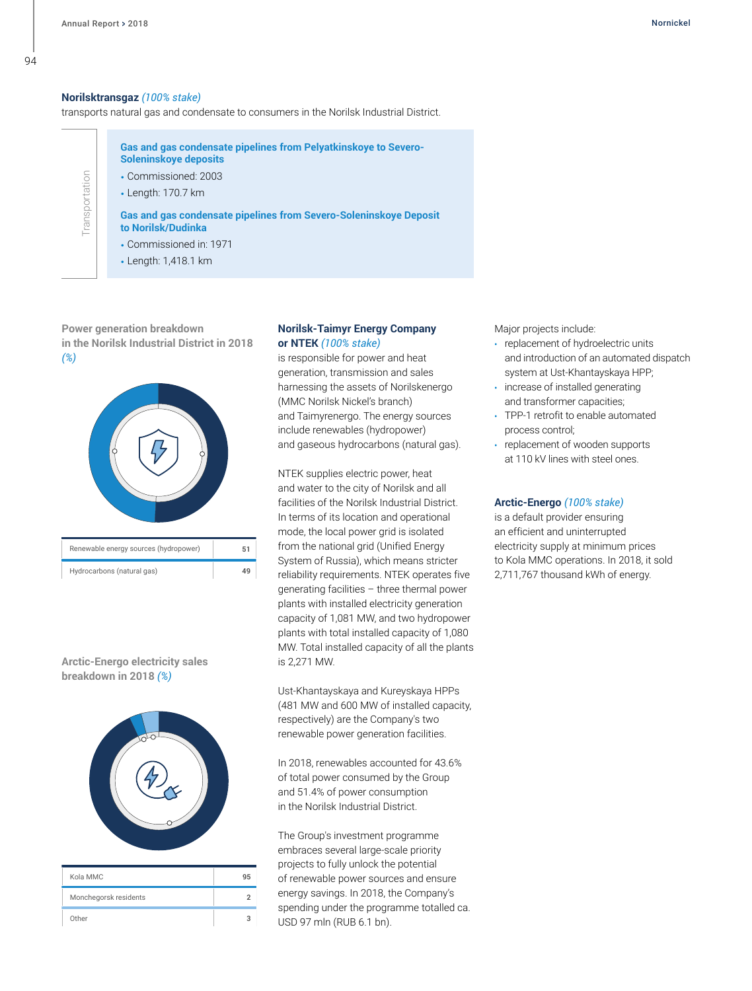**Transportation** 

Transportation

## **Norilsktransgaz** *(100% stake)*

transports natural gas and condensate to consumers in the Norilsk Industrial District.

**Gas and gas condensate pipelines from Pelyatkinskoye to Severo-Soleninskoye deposits**

• Commissioned: 2003

• Length: 170.7 km

**Gas and gas condensate pipelines from Severo-Soleninskoye Deposit to Norilsk/Dudinka**

- Commissioned in: 1971
- Length: 1,418.1 km

**Power generation breakdown in the Norilsk Industrial District in 2018** *(%)*



| Renewable energy sources (hydropower) | 51 |
|---------------------------------------|----|
| Hydrocarbons (natural gas)            | ΔQ |

## **Arctic-Energo electricity sales breakdown in 2018** *(%)*



| Kola MMC              | 95 |
|-----------------------|----|
| Monchegorsk residents |    |
| Other                 |    |

## **Norilsk-Taimyr Energy Company or NTEK** *(100% stake)*

is responsible for power and heat generation, transmission and sales harnessing the assets of Norilskenergo (MMC Norilsk Nickel's branch) and Taimyrenergo. The energy sources include renewables (hydropower) and gaseous hydrocarbons (natural gas).

NTEK supplies electric power, heat and water to the city of Norilsk and all facilities of the Norilsk Industrial District. In terms of its location and operational mode, the local power grid is isolated from the national grid (Unified Energy System of Russia), which means stricter reliability requirements. NTEK operates five generating facilities – three thermal power plants with installed electricity generation capacity of 1,081 MW, and two hydropower plants with total installed capacity of 1,080 MW. Total installed capacity of all the plants is 2,271 MW.

Ust-Khantayskaya and Kureyskaya HPPs (481 MW and 600 MW of installed capacity, respectively) are the Company's two renewable power generation facilities.

In 2018, renewables accounted for 43.6% of total power consumed by the Group and 51.4% of power consumption in the Norilsk Industrial District.

The Group's investment programme embraces several large-scale priority projects to fully unlock the potential of renewable power sources and ensure energy savings. In 2018, the Company's spending under the programme totalled ca. USD 97 mln (RUB 6.1 bn).

Major projects include:

- **•** replacement of hydroelectric units and introduction of an automated dispatch system at Ust-Khantayskaya HPP;
- **•** increase of installed generating and transformer capacities;
- **•** TPP-1 retrofit to enable automated process control;
- **•** replacement of wooden supports at 110 kV lines with steel ones.

## **Arctic-Energo** *(100% stake)*

is a default provider ensuring an efficient and uninterrupted electricity supply at minimum prices to Kola MMC operations. In 2018, it sold 2,711,767 thousand kWh of energy.